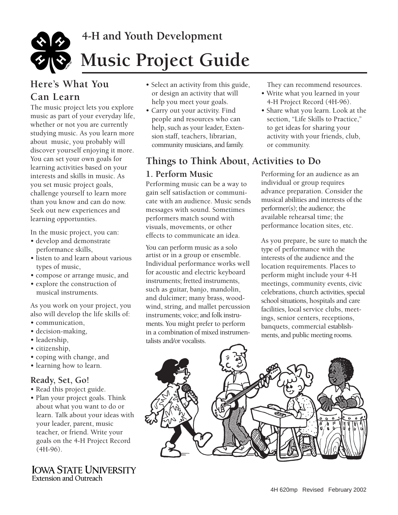

# **Here's What You Can Learn**

The music project lets you explore music as part of your everyday life, whether or not you are currently studying music. As you learn more about music, you probably will discover yourself enjoying it more. You can set your own goals for learning activities based on your interests and skills in music. As you set music project goals, challenge yourself to learn more than you know and can do now. Seek out new experiences and learning opportunties.

In the music project, you can:

- develop and demonstrate performance skills,
- listen to and learn about various types of music,
- compose or arrange music, and
- explore the construction of musical instruments.

As you work on your project, you also will develop the life skills of:

- communication,
- decision-making,
- leadership,
- citizenship,
- coping with change, and
- learning how to learn.

#### **Ready, Set, Go!**

- Read this project guide.
- Plan your project goals. Think about what you want to do or learn. Talk about your ideas with your leader, parent, music teacher, or friend. Write your goals on the 4-H Project Record (4H-96).

#### **IOWA STATE UNIVERSITY**  Extension and Outreach

- Select an activity from this guide, or design an activity that will help you meet your goals.
- Carry out your activity. Find people and resources who can help, such as your leader, Extension staff, teachers, librarian, community musicians, and family.

# **Things to Think About, Activities to Do**

### **1. Perform Music**

Performing music can be a way to gain self satisfaction or communicate with an audience. Music sends messages with sound. Sometimes performers match sound with visuals, movements, or other effects to communicate an idea.

You can perform music as a solo artist or in a group or ensemble. Individual performance works well for acoustic and electric keyboard instruments; fretted instruments, such as guitar, banjo, mandolin, and dulcimer; many brass, woodwind, string, and mallet percussion instruments; voice; and folk instruments. You might prefer to perform in a combination of mixed instrumentalists and/or vocalists.

They can recommend resources.

- Write what you learned in your 4-H Project Record (4H-96).
- Share what you learn. Look at the section, "Life Skills to Practice," to get ideas for sharing your activity with your friends, club, or community.

 musical abilities and interests of the Performing for an audience as an individual or group requires advance preparation. Consider the performer(s); the audience; the available rehearsal time; the performance location sites, etc.

As you prepare, be sure to match the type of performance with the interests of the audience and the location requirements. Places to perform might include your 4-H meetings, community events, civic celebrations, church activities, special school situations, hospitals and care facilities, local service clubs, meetings, senior centers, receptions, banquets, commercial establishments, and public meeting rooms.

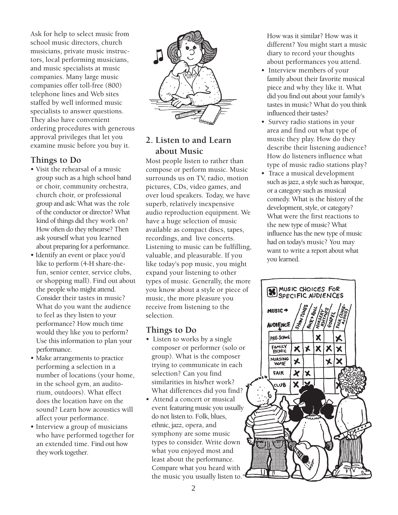Ask for help to select music from school music directors, church musicians, private music instructors, local performing musicians, and music specialists at music companies. Many large music companies offer toll-free (800) telephone lines and Web sites staffed by well informed music specialists to answer questions. They also have convenient ordering procedures with generous approval privileges that let you examine music before you buy it.

### **Things to Do**

- Visit the rehearsal of a music group such as a high school band or choir, community orchestra, church choir, or professional group and ask: What was the role of the conductor or director? What kind of things did they work on? How often do they rehearse? Then ask yourself what you learned about preparing for a performance.
- Identify an event or place you'd like to perform (4-H share-thefun, senior center, service clubs, or shopping mall). Find out about the people who might attend. Consider their tastes in music? What do you want the audience to feel as they listen to your performance? How much time would they like you to perform? Use this information to plan your performance.
- Make arrangements to practice performing a selection in a number of locations (your home, in the school gym, an auditorium, outdoors). What effect does the location have on the sound? Learn how acoustics will affect your performance.
- Interview a group of musicians who have performed together for an extended time. Find out how they work together.



## **2. Listen to and Learn about Music**

Most people listen to rather than compose or perform music. Music surrounds us on TV, radio, motion pictures, CDs, video games, and over loud speakers. Today, we have superb, relatively inexpensive audio reproduction equipment. We have a huge selection of music available as compact discs, tapes, recordings, and live concerts. Listening to music can be fulfilling, valuable, and pleasurable. If you like today's pop music, you might expand your listening to other types of music. Generally, the more you know about a style or piece of music, the more pleasure you receive from listening to the selection.

#### **Things to Do**

- Listen to works by a single composer or performer (solo or group). What is the composer trying to communicate in each selection? Can you find similarities in his/her work? What differences did you find?
- Attend a concert or musical event featuring music you usually do not listen to. Folk, blues, ethnic, jazz, opera, and symphony are some music types to consider. Write down what you enjoyed most and least about the performance. Compare what you heard with the music you usually listen to.

How was it similar? How was it different? You might start a music diary to record your thoughts about performances you attend.

- Interview members of your family about their favorite musical piece and why they like it. What did you find out about your family's tastes in music? What do you think influenced their tastes?
- Survey radio stations in your area and find out what type of music they play. How do they describe their listening audience? How do listeners influence what type of music radio stations play?
- Trace a musical development such as jazz, a style such as baroque, or a category such as musical comedy. What is the history of the development, style, or category? What were the first reactions to the new type of music? What influence has the new type of music had on today's music? You may want to write a report about what you learned.

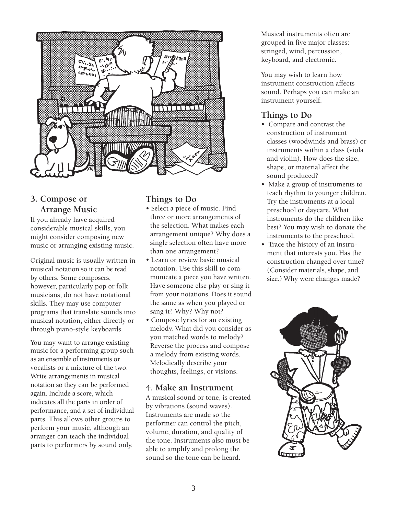

## **3. Compose or Arrange Music**

If you already have acquired considerable musical skills, you might consider composing new music or arranging existing music.

Original music is usually written in musical notation so it can be read by others. Some composers, however, particularly pop or folk musicians, do not have notational skills. They may use computer programs that translate sounds into musical notation, either directly or through piano-style keyboards.

You may want to arrange existing music for a performing group such as an ensemble of instruments or vocalists or a mixture of the two. Write arrangements in musical notation so they can be performed again. Include a score, which indicates all the parts in order of performance, and a set of individual parts. This allows other groups to perform your music, although an arranger can teach the individual parts to performers by sound only.

## **Things to Do**

- Select a piece of music. Find three or more arrangements of the selection. What makes each arrangement unique? Why does a single selection often have more than one arrangement?
- Learn or review basic musical notation. Use this skill to communicate a piece you have written. Have someone else play or sing it from your notations. Does it sound the same as when you played or sang it? Why? Why not?
- Compose lyrics for an existing melody. What did you consider as you matched words to melody? Reverse the process and compose a melody from existing words. Melodically describe your thoughts, feelings, or visions.

#### **4. Make an Instrument**

A musical sound or tone, is created by vibrations (sound waves). Instruments are made so the performer can control the pitch, volume, duration, and quality of the tone. Instruments also must be able to amplify and prolong the sound so the tone can be heard.

Musical instruments often are grouped in five major classes: stringed, wind, percussion, keyboard, and electronic.

You may wish to learn how instrument construction affects sound. Perhaps you can make an instrument yourself.

# **Things to Do**

- Compare and contrast the construction of instrument classes (woodwinds and brass) or instruments within a class (viola and violin). How does the size, shape, or material affect the sound produced?
- Make a group of instruments to teach rhythm to younger children. Try the instruments at a local preschool or daycare. What instruments do the children like best? You may wish to donate the instruments to the preschool.
- Trace the history of an instrument that interests you. Has the construction changed over time? (Consider materials, shape, and size.) Why were changes made?

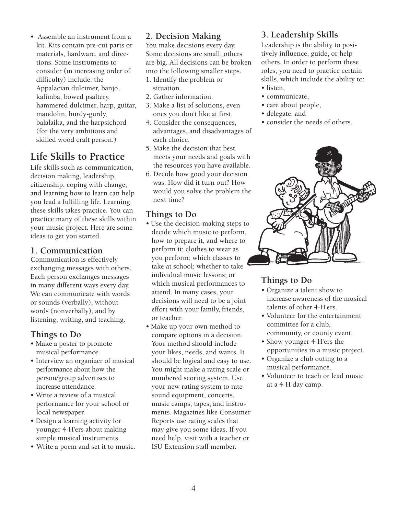• Assemble an instrument from a kit. Kits contain pre-cut parts or materials, hardware, and directions. Some instruments to consider (in increasing order of difficulty) include: the Appalacian dulcimer, banjo, kalimba, bowed psaltery, hammered dulcimer, harp, guitar, mandolin, hurdy-gurdy, balalaika, and the harpsichord (for the very ambitious and skilled wood craft person.)

# **Life Skills to Practice**

Life skills such as communication, decision making, leadership, citizenship, coping with change, and learning how to learn can help you lead a fulfilling life. Learning these skills takes practice. You can practice many of these skills within your music project. Here are some ideas to get you started.

#### **1. Communication**

Communication is effectively exchanging messages with others. Each person exchanges messages in many different ways every day. We can communicate with words or sounds (verbally), without words (nonverbally), and by listening, writing, and teaching.

#### **Things to Do**

- Make a poster to promote musical performance.
- Interview an organizer of musical performance about how the person/group advertises to increase attendance.
- Write a review of a musical performance for your school or local newspaper.
- Design a learning activity for younger 4-H'ers about making simple musical instruments.
- Write a poem and set it to music.

#### **2. Decision Making**

You make decisions every day. Some decisions are small; others are big. All decisions can be broken into the following smaller steps.

- 1. Identify the problem or situation.
- 2. Gather information.
- 3. Make a list of solutions, even ones you don't like at first.
- 4. Consider the consequences, advantages, and disadvantages of each choice.
- 5. Make the decision that best meets your needs and goals with the resources you have available.
- 6. Decide how good your decision was. How did it turn out? How would you solve the problem the next time?

#### **Things to Do**

- Use the decision-making steps to decide which music to perform, how to prepare it, and where to perform it; clothes to wear as you perform; which classes to take at school; whether to take individual music lessons; or which musical performances to attend. In many cases, your decisions will need to be a joint effort with your family, friends, or teacher.
- Make up your own method to compare options in a decision. Your method should include your likes, needs, and wants. It should be logical and easy to use. You might make a rating scale or numbered scoring system. Use your new rating system to rate sound equipment, concerts, music camps, tapes, and instruments. Magazines like Consumer Reports use rating scales that may give you some ideas. If you need help, visit with a teacher or ISU Extension staff member.

### **3. Leadership Skills**

Leadership is the ability to positively influence, guide, or help others. In order to perform these roles, you need to practice certain skills, which include the ability to: • listen,

- 
- communicate,
- care about people,
- delegate, and
- consider the needs of others.



## **Things to Do**

- Organize a talent show to increase awareness of the musical talents of other 4-H'ers.
- Volunteer for the entertainment committee for a club, community, or county event.
- Show younger 4-H'ers the opportunities in a music project.
- Organize a club outing to a musical performance.
- Volunteer to teach or lead music at a 4-H day camp.